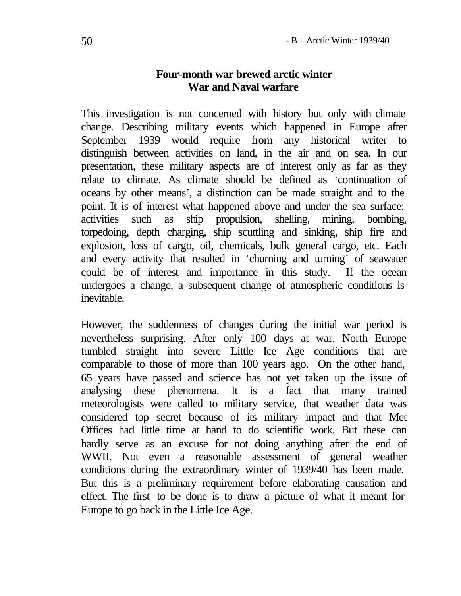### **Four-month war brewed arctic winter War and Naval warfare**

This investigation is not concerned with history but only with climate change. Describing military events which happened in Europe after September 1939 would require from any historical writer to distinguish between activities on land, in the air and on sea. In our presentation, these military aspects are of interest only as far as they relate to climate. As climate should be defined as 'continuation of oceans by other means', a distinction can be made straight and to the point. It is of interest what happened above and under the sea surface: activities such as ship propulsion, shelling, mining, bombing, torpedoing, depth charging, ship scuttling and sinking, ship fire and explosion, loss of cargo, oil, chemicals, bulk general cargo, etc. Each and every activity that resulted in 'churning and turning' of seawater could be of interest and importance in this study. If the ocean undergoes a change, a subsequent change of atmospheric conditions is inevitable.

However, the suddenness of changes during the initial war period is nevertheless surprising. After only 100 days at war, North Europe tumbled straight into severe Little Ice Age conditions that are comparable to those of more than 100 years ago. On the other hand, 65 years have passed and science has not yet taken up the issue of analysing these phenomena. It is a fact that many trained meteorologists were called to military service, that weather data was considered top secret because of its military impact and that Met Offices had little time at hand to do scientific work. But these can hardly serve as an excuse for not doing anything after the end of WWII. Not even a reasonable assessment of general weather conditions during the extraordinary winter of 1939/40 has been made. But this is a preliminary requirement before elaborating causation and effect. The first to be done is to draw a picture of what it meant for Europe to go back in the Little Ice Age.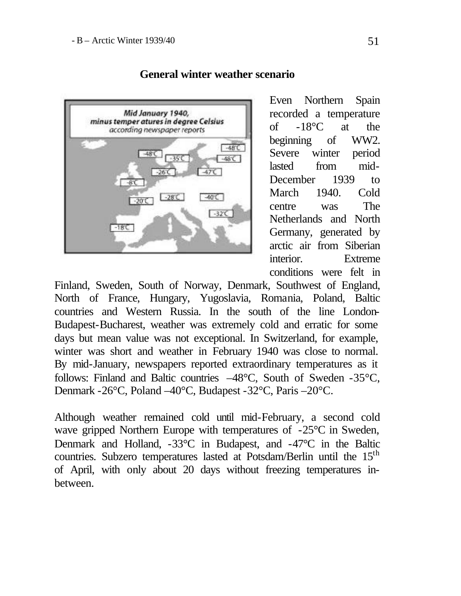

# **General winter weather scenario**

Even Northern Spain recorded a temperature of -18°C at the beginning of WW2. Severe winter period lasted from mid-December 1939 to March 1940. Cold centre was The Netherlands and North Germany, generated by arctic air from Siberian interior. Extreme conditions were felt in

Finland, Sweden, South of Norway, Denmark, Southwest of England, North of France, Hungary, Yugoslavia, Romania, Poland, Baltic countries and Western Russia. In the south of the line London-Budapest-Bucharest, weather was extremely cold and erratic for some days but mean value was not exceptional. In Switzerland, for example, winter was short and weather in February 1940 was close to normal. By mid-January, newspapers reported extraordinary temperatures as it follows: Finland and Baltic countries –48°C, South of Sweden -35°C, Denmark -26°C, Poland –40°C, Budapest -32°C, Paris –20°C.

Although weather remained cold until mid-February, a second cold wave gripped Northern Europe with temperatures of -25<sup>o</sup>C in Sweden, Denmark and Holland, -33°C in Budapest, and -47°C in the Baltic countries. Subzero temperatures lasted at Potsdam/Berlin until the 15<sup>th</sup> of April, with only about 20 days without freezing temperatures inbetween.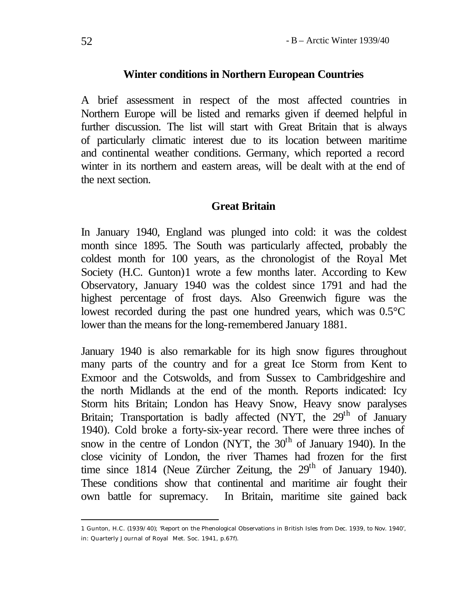#### **Winter conditions in Northern European Countries**

A brief assessment in respect of the most affected countries in Northern Europe will be listed and remarks given if deemed helpful in further discussion. The list will start with Great Britain that is always of particularly climatic interest due to its location between maritime and continental weather conditions. Germany, which reported a record winter in its northern and eastern areas, will be dealt with at the end of the next section.

### **Great Britain**

In January 1940, England was plunged into cold: it was the coldest month since 1895. The South was particularly affected, probably the coldest month for 100 years, as the chronologist of the Royal Met Society (H.C. Gunton)1 wrote a few months later. According to Kew Observatory, January 1940 was the coldest since 1791 and had the highest percentage of frost days. Also Greenwich figure was the lowest recorded during the past one hundred years, which was 0.5°C lower than the means for the long-remembered January 1881.

January 1940 is also remarkable for its high snow figures throughout many parts of the country and for a great Ice Storm from Kent to Exmoor and the Cotswolds, and from Sussex to Cambridgeshire and the north Midlands at the end of the month. Reports indicated: Icy Storm hits Britain; London has Heavy Snow, Heavy snow paralyses Britain; Transportation is badly affected (NYT, the  $29<sup>th</sup>$  of January 1940). Cold broke a forty-six-year record. There were three inches of snow in the centre of London (NYT, the  $30<sup>th</sup>$  of January 1940). In the close vicinity of London, the river Thames had frozen for the first time since 1814 (Neue Zürcher Zeitung, the  $29<sup>th</sup>$  of January 1940). These conditions show that continental and maritime air fought their own battle for supremacy. In Britain, maritime site gained back

<sup>1</sup> Gunton, H.C. (1939/40); 'Report on the Phenological Observations in British Isles from Dec. 1939, to Nov. 1940', in: Quarterly Journal of Royal Met. Soc. 1941, p.67f).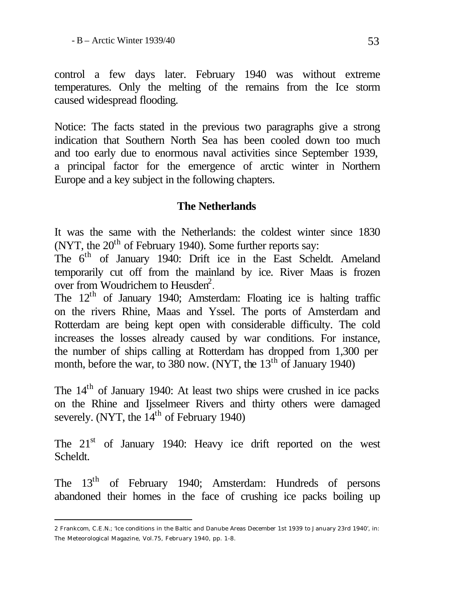control a few days later. February 1940 was without extreme temperatures. Only the melting of the remains from the Ice storm caused widespread flooding.

Notice: The facts stated in the previous two paragraphs give a strong indication that Southern North Sea has been cooled down too much and too early due to enormous naval activities since September 1939, a principal factor for the emergence of arctic winter in Northern Europe and a key subject in the following chapters.

# **The Netherlands**

It was the same with the Netherlands: the coldest winter since 1830 (NYT, the  $20<sup>th</sup>$  of February 1940). Some further reports say:

The 6<sup>th</sup> of January 1940: Drift ice in the East Scheldt. Ameland temporarily cut off from the mainland by ice. River Maas is frozen over from Woudrichem to Heusden<sup>2</sup>.

The 12<sup>th</sup> of January 1940; Amsterdam: Floating ice is halting traffic on the rivers Rhine, Maas and Yssel. The ports of Amsterdam and Rotterdam are being kept open with considerable difficulty. The cold increases the losses already caused by war conditions. For instance, the number of ships calling at Rotterdam has dropped from 1,300 per month, before the war, to 380 now. (NYT, the  $13<sup>th</sup>$  of January 1940)

The 14<sup>th</sup> of January 1940: At least two ships were crushed in ice packs on the Rhine and Ijsselmeer Rivers and thirty others were damaged severely. (NYT, the  $14<sup>th</sup>$  of February 1940)

The  $21<sup>st</sup>$  of January 1940: Heavy ice drift reported on the west Scheldt.

The 13<sup>th</sup> of February 1940; Amsterdam: Hundreds of persons abandoned their homes in the face of crushing ice packs boiling up

<sup>2</sup> Frankcom, C.E.N.; 'Ice conditions in the Baltic and Danube Areas December 1st 1939 to January 23rd 1940', in: The Meteorological Magazine, Vol.75, February 1940, pp. 1-8.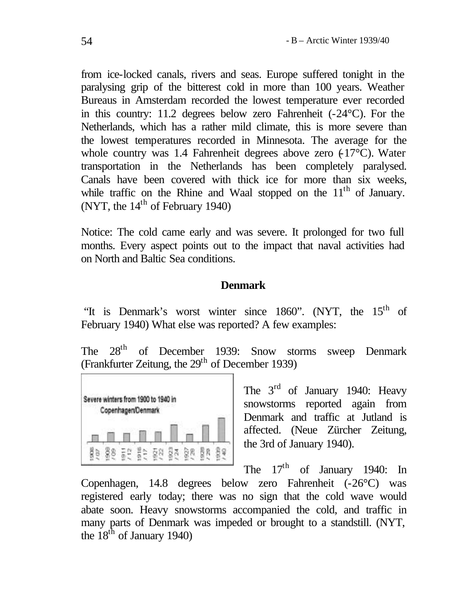from ice-locked canals, rivers and seas. Europe suffered tonight in the paralysing grip of the bitterest cold in more than 100 years. Weather Bureaus in Amsterdam recorded the lowest temperature ever recorded in this country: 11.2 degrees below zero Fahrenheit (-24°C). For the Netherlands, which has a rather mild climate, this is more severe than the lowest temperatures recorded in Minnesota. The average for the whole country was 1.4 Fahrenheit degrees above zero  $(17^{\circ}C)$ . Water transportation in the Netherlands has been completely paralysed. Canals have been covered with thick ice for more than six weeks, while traffic on the Rhine and Waal stopped on the  $11<sup>th</sup>$  of January. (NYT, the  $14<sup>th</sup>$  of February 1940)

Notice: The cold came early and was severe. It prolonged for two full months. Every aspect points out to the impact that naval activities had on North and Baltic Sea conditions.

### **Denmark**

"It is Denmark's worst winter since 1860". (NYT, the 15<sup>th</sup> of February 1940) What else was reported? A few examples:

The  $28<sup>th</sup>$  of December 1939: Snow storms sweep Denmark (Frankfurter Zeitung, the  $29<sup>th</sup>$  of December 1939)



The 3<sup>rd</sup> of January 1940: Heavy snowstorms reported again from Denmark and traffic at Jutland is affected. (Neue Zürcher Zeitung, the 3rd of January 1940).

The  $17<sup>th</sup>$  of January 1940: In Copenhagen, 14.8 degrees below zero Fahrenheit (-26°C) was registered early today; there was no sign that the cold wave would abate soon. Heavy snowstorms accompanied the cold, and traffic in many parts of Denmark was impeded or brought to a standstill. (NYT, the  $18<sup>th</sup>$  of January 1940)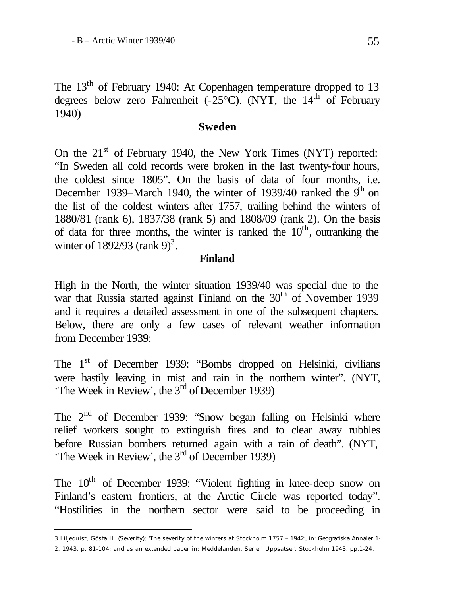The 13<sup>th</sup> of February 1940: At Copenhagen temperature dropped to 13 degrees below zero Fahrenheit (- $25^{\circ}$ C). (NYT, the 14<sup>th</sup> of February 1940)

#### **Sweden**

On the  $21<sup>st</sup>$  of February 1940, the New York Times (NYT) reported: "In Sweden all cold records were broken in the last twenty-four hours, the coldest since 1805". On the basis of data of four months, i.e. December 1939–March 1940, the winter of 1939/40 ranked the  $9<sup>h</sup>$  on the list of the coldest winters after 1757, trailing behind the winters of 1880/81 (rank 6), 1837/38 (rank 5) and 1808/09 (rank 2). On the basis of data for three months, the winter is ranked the  $10<sup>th</sup>$ , outranking the winter of 1892/93 (rank 9)<sup>3</sup>.

#### **Finland**

High in the North, the winter situation 1939/40 was special due to the war that Russia started against Finland on the 30<sup>th</sup> of November 1939 and it requires a detailed assessment in one of the subsequent chapters. Below, there are only a few cases of relevant weather information from December 1939:

The 1<sup>st</sup> of December 1939: "Bombs dropped on Helsinki, civilians were hastily leaving in mist and rain in the northern winter". (NYT, 'The Week in Review', the 3<sup>rd</sup> of December 1939)

The 2<sup>nd</sup> of December 1939: "Snow began falling on Helsinki where relief workers sought to extinguish fires and to clear away rubbles before Russian bombers returned again with a rain of death". (NYT, 'The Week in Review', the  $3<sup>rd</sup>$  of December 1939)

The  $10<sup>th</sup>$  of December 1939: "Violent fighting in knee-deep snow on Finland's eastern frontiers, at the Arctic Circle was reported today". "Hostilities in the northern sector were said to be proceeding in

<sup>3</sup> Liljequist, Gösta H. (Severity); 'The severity of the winters at Stockholm 1757 – 1942', in: Geografiska Annaler 1-

<sup>2, 1943,</sup> p. 81-104; and as an extended paper in: Meddelanden, Serien Uppsatser, Stockholm 1943, pp.1-24.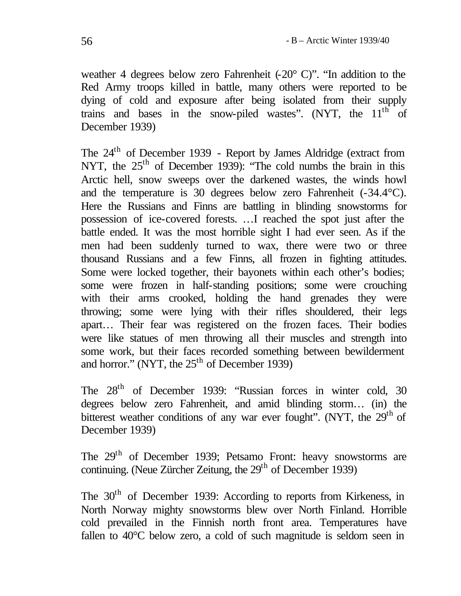weather 4 degrees below zero Fahrenheit  $(-20^{\circ} \text{ C})$ ". "In addition to the Red Army troops killed in battle, many others were reported to be dying of cold and exposure after being isolated from their supply trains and bases in the snow-piled wastes". (NYT, the  $11<sup>th</sup>$  of December 1939)

The 24th of December 1939 - Report by James Aldridge (extract from NYT, the  $25<sup>th</sup>$  of December 1939): "The cold numbs the brain in this Arctic hell, snow sweeps over the darkened wastes, the winds howl and the temperature is 30 degrees below zero Fahrenheit (-34.4°C). Here the Russians and Finns are battling in blinding snowstorms for possession of ice-covered forests. …I reached the spot just after the battle ended. It was the most horrible sight I had ever seen. As if the men had been suddenly turned to wax, there were two or three thousand Russians and a few Finns, all frozen in fighting attitudes. Some were locked together, their bayonets within each other's bodies; some were frozen in half-standing positions; some were crouching with their arms crooked, holding the hand grenades they were throwing; some were lying with their rifles shouldered, their legs apart… Their fear was registered on the frozen faces. Their bodies were like statues of men throwing all their muscles and strength into some work, but their faces recorded something between bewilderment and horror." (NYT, the  $25<sup>th</sup>$  of December 1939)

The  $28<sup>th</sup>$  of December 1939: "Russian forces in winter cold, 30 degrees below zero Fahrenheit, and amid blinding storm… (in) the bitterest weather conditions of any war ever fought". (NYT, the 29<sup>th</sup> of December 1939)

The 29th of December 1939; Petsamo Front: heavy snowstorms are continuing. (Neue Zürcher Zeitung, the  $29<sup>th</sup>$  of December 1939)

The 30<sup>th</sup> of December 1939: According to reports from Kirkeness, in North Norway mighty snowstorms blew over North Finland. Horrible cold prevailed in the Finnish north front area. Temperatures have fallen to 40°C below zero, a cold of such magnitude is seldom seen in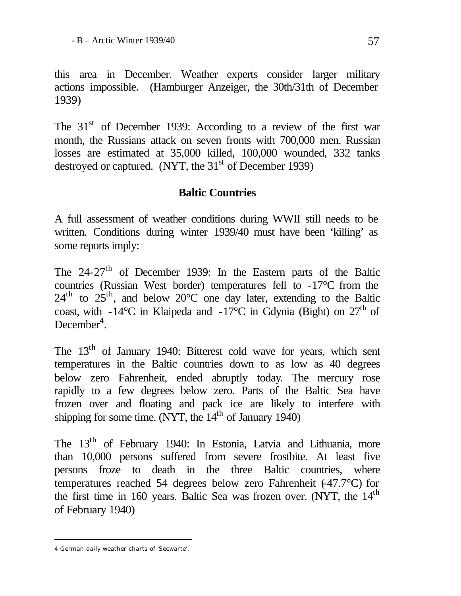this area in December. Weather experts consider larger military actions impossible. (Hamburger Anzeiger, the 30th/31th of December 1939)

The  $31<sup>st</sup>$  of December 1939: According to a review of the first war month, the Russians attack on seven fronts with 700,000 men. Russian losses are estimated at 35,000 killed, 100,000 wounded, 332 tanks destroyed or captured. (NYT, the  $31<sup>st</sup>$  of December 1939)

# **Baltic Countries**

A full assessment of weather conditions during WWII still needs to be written. Conditions during winter 1939/40 must have been 'killing' as some reports imply:

The  $24-27$ <sup>th</sup> of December 1939: In the Eastern parts of the Baltic countries (Russian West border) temperatures fell to -17<sup>o</sup>C from the  $24<sup>th</sup>$  to  $25<sup>th</sup>$ , and below  $20^{\circ}$ C one day later, extending to the Baltic coast, with -14°C in Klaipeda and -17°C in Gdynia (Bight) on  $27<sup>th</sup>$  of  $December<sup>4</sup>$ .

The 13<sup>th</sup> of January 1940: Bitterest cold wave for years, which sent temperatures in the Baltic countries down to as low as 40 degrees below zero Fahrenheit, ended abruptly today. The mercury rose rapidly to a few degrees below zero. Parts of the Baltic Sea have frozen over and floating and pack ice are likely to interfere with shipping for some time. (NYT, the  $14<sup>th</sup>$  of January 1940)

The 13<sup>th</sup> of February 1940: In Estonia, Latvia and Lithuania, more than 10,000 persons suffered from severe frostbite. At least five persons froze to death in the three Baltic countries, where temperatures reached 54 degrees below zero Fahrenheit  $(47.7^{\circ}C)$  for the first time in 160 years. Baltic Sea was frozen over. (NYT, the 14<sup>th</sup> of February 1940)

<sup>4</sup> German daily weather charts of 'Seewarte'.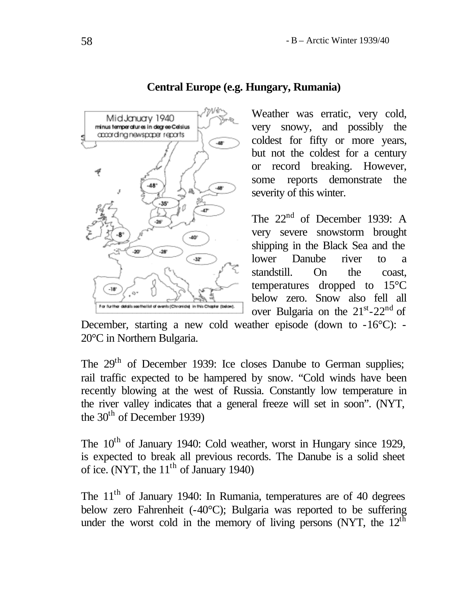

## **Central Europe (e.g. Hungary, Rumania)**

Weather was erratic, very cold, very snowy, and possibly the coldest for fifty or more years, but not the coldest for a century or record breaking. However, some reports demonstrate the severity of this winter.

The  $22<sup>nd</sup>$  of December 1939: A very severe snowstorm brought shipping in the Black Sea and the lower Danube river to a standstill. On the coast, temperatures dropped to 15°C below zero. Snow also fell all over Bulgaria on the  $21<sup>st</sup> - 22<sup>nd</sup>$  of

December, starting a new cold weather episode (down to -16°C): - 20°C in Northern Bulgaria.

The 29<sup>th</sup> of December 1939: Ice closes Danube to German supplies; rail traffic expected to be hampered by snow. "Cold winds have been recently blowing at the west of Russia. Constantly low temperature in the river valley indicates that a general freeze will set in soon". (NYT, the  $30<sup>th</sup>$  of December 1939)

The 10<sup>th</sup> of January 1940: Cold weather, worst in Hungary since 1929, is expected to break all previous records. The Danube is a solid sheet of ice. (NYT, the  $11<sup>th</sup>$  of January 1940)

The  $11<sup>th</sup>$  of January 1940: In Rumania, temperatures are of 40 degrees below zero Fahrenheit (-40°C); Bulgaria was reported to be suffering under the worst cold in the memory of living persons (NYT, the  $12<sup>th</sup>$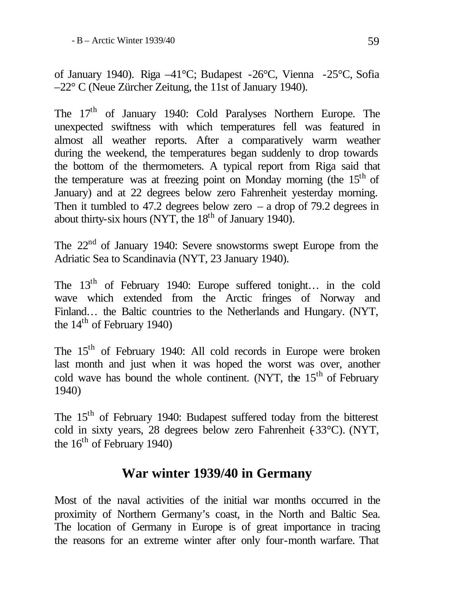of January 1940). Riga –41°C; Budapest -26°C, Vienna -25°C, Sofia –22° C (Neue Zürcher Zeitung, the 11st of January 1940).

The 17<sup>th</sup> of January 1940: Cold Paralyses Northern Europe. The unexpected swiftness with which temperatures fell was featured in almost all weather reports. After a comparatively warm weather during the weekend, the temperatures began suddenly to drop towards the bottom of the thermometers. A typical report from Riga said that the temperature was at freezing point on Monday morning (the  $15<sup>th</sup>$  of January) and at 22 degrees below zero Fahrenheit yesterday morning. Then it tumbled to 47.2 degrees below zero – a drop of 79.2 degrees in about thirty-six hours (NYT, the  $18<sup>th</sup>$  of January 1940).

The  $22<sup>nd</sup>$  of January 1940: Severe snowstorms swept Europe from the Adriatic Sea to Scandinavia (NYT, 23 January 1940).

The  $13<sup>th</sup>$  of February 1940: Europe suffered tonight... in the cold wave which extended from the Arctic fringes of Norway and Finland… the Baltic countries to the Netherlands and Hungary. (NYT, the  $14<sup>th</sup>$  of February 1940)

The 15th of February 1940: All cold records in Europe were broken last month and just when it was hoped the worst was over, another cold wave has bound the whole continent. (NYT, the  $15<sup>th</sup>$  of February 1940)

The 15<sup>th</sup> of February 1940: Budapest suffered today from the bitterest cold in sixty years, 28 degrees below zero Fahrenheit (-33°C). (NYT, the  $16<sup>th</sup>$  of February 1940)

# **War winter 1939/40 in Germany**

Most of the naval activities of the initial war months occurred in the proximity of Northern Germany's coast, in the North and Baltic Sea. The location of Germany in Europe is of great importance in tracing the reasons for an extreme winter after only four-month warfare. That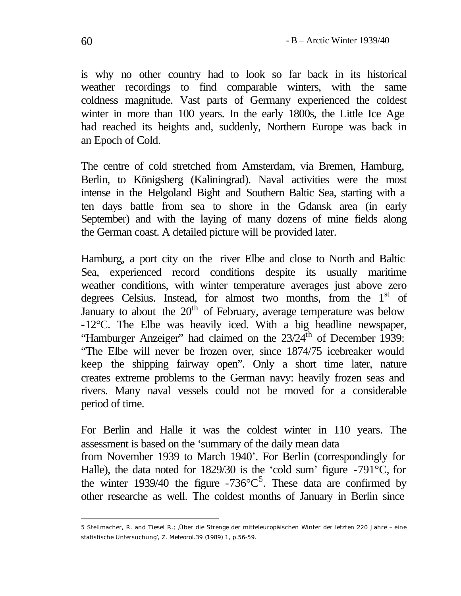is why no other country had to look so far back in its historical weather recordings to find comparable winters, with the same coldness magnitude. Vast parts of Germany experienced the coldest winter in more than 100 years. In the early 1800s, the Little Ice Age had reached its heights and, suddenly, Northern Europe was back in an Epoch of Cold.

The centre of cold stretched from Amsterdam, via Bremen, Hamburg, Berlin, to Königsberg (Kaliningrad). Naval activities were the most intense in the Helgoland Bight and Southern Baltic Sea, starting with a ten days battle from sea to shore in the Gdansk area (in early September) and with the laying of many dozens of mine fields along the German coast. A detailed picture will be provided later.

Hamburg, a port city on the river Elbe and close to North and Baltic Sea, experienced record conditions despite its usually maritime weather conditions, with winter temperature averages just above zero degrees Celsius. Instead, for almost two months, from the  $1<sup>st</sup>$  of January to about the  $20<sup>th</sup>$  of February, average temperature was below -12°C. The Elbe was heavily iced. With a big headline newspaper, "Hamburger Anzeiger" had claimed on the  $23/24$ <sup>th</sup> of December 1939: "The Elbe will never be frozen over, since 1874/75 icebreaker would keep the shipping fairway open". Only a short time later, nature creates extreme problems to the German navy: heavily frozen seas and rivers. Many naval vessels could not be moved for a considerable period of time.

For Berlin and Halle it was the coldest winter in 110 years. The assessment is based on the 'summary of the daily mean data from November 1939 to March 1940'. For Berlin (correspondingly for

Halle), the data noted for 1829/30 is the 'cold sum' figure -791°C, for the winter 1939/40 the figure -736 $\degree$ C<sup>5</sup>. These data are confirmed by other researche as well. The coldest months of January in Berlin since

l 5 Stellmacher, R. and Tiesel R.; 'Über die Strenge der mitteleuropäischen Winter der letzten 220 Jahre – eine statistische Untersuchung', Z. Meteorol.39 (1989) 1, p.56-59.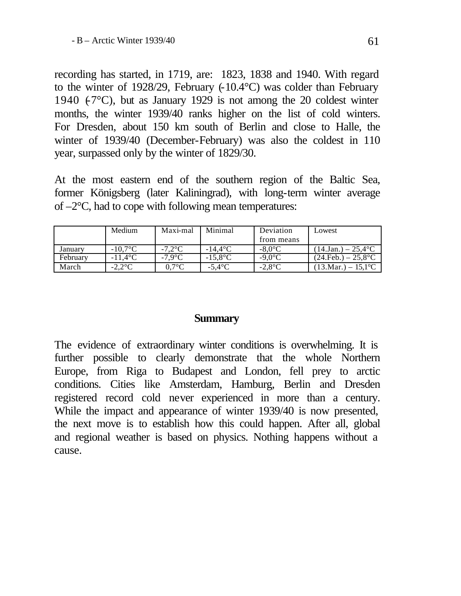recording has started, in 1719, are: 1823, 1838 and 1940. With regard to the winter of 1928/29, February (-10.4°C) was colder than February 1940  $(-7^{\circ}C)$ , but as January 1929 is not among the 20 coldest winter months, the winter 1939/40 ranks higher on the list of cold winters. For Dresden, about 150 km south of Berlin and close to Halle, the winter of 1939/40 (December-February) was also the coldest in 110 year, surpassed only by the winter of 1829/30.

At the most eastern end of the southern region of the Baltic Sea, former Königsberg (later Kaliningrad), with long-term winter average of  $-2$ °C, had to cope with following mean temperatures:

|          | Medium                 | Maxi-mal         | Minimal          | Deviation        | Lowest                                   |
|----------|------------------------|------------------|------------------|------------------|------------------------------------------|
|          |                        |                  |                  | from means       |                                          |
| Januarv  | $-10.7$ °C             | $-7.2$ °C        | $-14.4\degree$ C | $-8.0^{\circ}$ C | $(14 \text{Jan.}) - 25.4$ <sup>o</sup> C |
| February | $-11.4$ <sup>o</sup> C | $-7.9^{\circ}$ C | $-15.8$ °C       | $-9.0^{\circ}$ C | $(24.Feb.) - 25.8$ °C                    |
| March    | $-2.2$ °C              | 0.7°C            | $-5.4^{\circ}$ C | $-2.8$ °C        | $(13.Mar.) - 15.1$ °C                    |

#### **Summary**

The evidence of extraordinary winter conditions is overwhelming. It is further possible to clearly demonstrate that the whole Northern Europe, from Riga to Budapest and London, fell prey to arctic conditions. Cities like Amsterdam, Hamburg, Berlin and Dresden registered record cold never experienced in more than a century. While the impact and appearance of winter 1939/40 is now presented, the next move is to establish how this could happen. After all, global and regional weather is based on physics. Nothing happens without a cause.